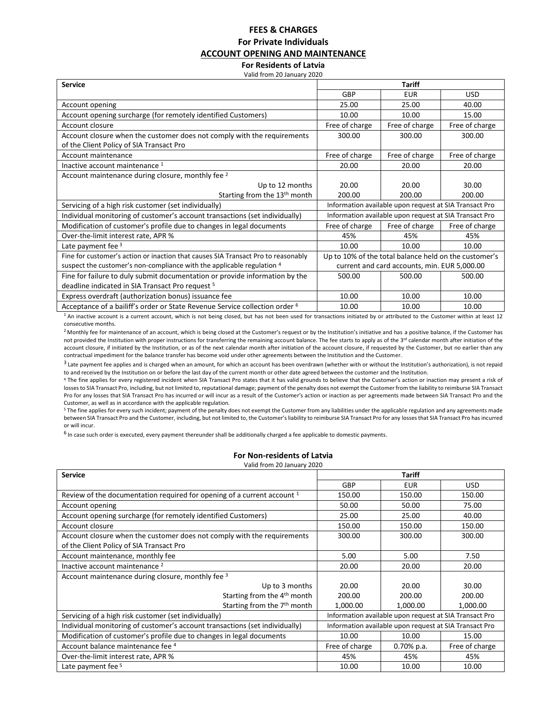# **FEES & CHARGES For Private Individuals ACCOUNT OPENING AND MAINTENANCE**

# **For Residents of Latvia**

Valid from 20 January 2020

| <b>Service</b>                                                                         | <b>Tariff</b>                                          |                                                        |                |  |
|----------------------------------------------------------------------------------------|--------------------------------------------------------|--------------------------------------------------------|----------------|--|
|                                                                                        | GBP                                                    | <b>EUR</b>                                             | <b>USD</b>     |  |
| Account opening                                                                        | 25.00                                                  | 25.00                                                  | 40.00          |  |
| Account opening surcharge (for remotely identified Customers)                          | 10.00                                                  | 10.00                                                  | 15.00          |  |
| Account closure                                                                        | Free of charge                                         | Free of charge                                         | Free of charge |  |
| Account closure when the customer does not comply with the requirements                | 300.00                                                 | 300.00                                                 | 300.00         |  |
| of the Client Policy of SIA Transact Pro                                               |                                                        |                                                        |                |  |
| Account maintenance                                                                    | Free of charge                                         | Free of charge                                         | Free of charge |  |
| Inactive account maintenance 1                                                         | 20.00                                                  | 20.00                                                  | 20.00          |  |
| Account maintenance during closure, monthly fee 2                                      |                                                        |                                                        |                |  |
| Up to 12 months                                                                        | 20.00                                                  | 20.00                                                  | 30.00          |  |
| Starting from the 13 <sup>th</sup> month                                               | 200.00                                                 | 200.00                                                 | 200.00         |  |
| Servicing of a high risk customer (set individually)                                   |                                                        | Information available upon request at SIA Transact Pro |                |  |
| Individual monitoring of customer's account transactions (set individually)            | Information available upon request at SIA Transact Pro |                                                        |                |  |
| Modification of customer's profile due to changes in legal documents                   | Free of charge                                         | Free of charge                                         | Free of charge |  |
| Over-the-limit interest rate, APR %                                                    | 45%                                                    | 45%                                                    | 45%            |  |
| Late payment fee 3                                                                     | 10.00                                                  | 10.00                                                  | 10.00          |  |
| Fine for customer's action or inaction that causes SIA Transact Pro to reasonably      | Up to 10% of the total balance held on the customer's  |                                                        |                |  |
| suspect the customer's non-compliance with the applicable regulation 4                 |                                                        | current and card accounts, min. EUR 5,000.00           |                |  |
| Fine for failure to duly submit documentation or provide information by the            | 500.00                                                 | 500.00                                                 | 500.00         |  |
| deadline indicated in SIA Transact Pro request <sup>5</sup>                            |                                                        |                                                        |                |  |
| Express overdraft (authorization bonus) issuance fee                                   | 10.00                                                  | 10.00                                                  | 10.00          |  |
| Acceptance of a bailiff's order or State Revenue Service collection order <sup>6</sup> | 10.00                                                  | 10.00                                                  | 10.00          |  |

 $1$  An inactive account is a current account, which is not being closed, but has not been used for transactions initiated by or attributed to the Customer within at least 12 consecutive months.

<sup>2</sup> Monthly fee for maintenance of an account, which is being closed at the Customer's request or by the Institution's initiative and has a positive balance, if the Customer has not provided the Institution with proper instructions for transferring the remaining account balance. The fee starts to apply as of the 3<sup>rd</sup> calendar month after initiation of the account closure, if initiated by the Institution, or as of the next calendar month after initiation of the account closure, if requested by the Customer, but no earlier than any contractual impediment for the balance transfer has become void under other agreements between the Institution and the Customer.

 $^3$  Late payment fee applies and is charged when an amount, for which an account has been overdrawn (whether with or without the Institution's authorization), is not repaid to and received by the Institution on or before the last day of the current month or other date agreed between the customer and the Institution.

<sup>4</sup> The fine applies for every registered incident when SIA Transact Pro states that it has valid grounds to believe that the Customer's action or inaction may present a risk of losses to SIA Transact Pro, including, but not limited to, reputational damage; payment of the penalty does not exempt the Customer from the liability to reimburse SIA Transact Pro for any losses that SIA Transact Pro has incurred or will incur as a result of the Customer's action or inaction as per agreements made between SIA Transact Pro and the Customer, as well as in accordance with the applicable regulation.

<sup>5</sup> The fine applies for every such incident; payment of the penalty does not exempt the Customer from any liabilities under the applicable regulation and any agreements made between SIA Transact Pro and the Customer, including, but not limited to, the Customer's liability to reimburse SIA Transact Pro for any losses that SIA Transact Pro has incurred or will incur.

<sup>6</sup> In case such order is executed, every payment thereunder shall be additionally charged a fee applicable to domestic payments.

## **For Non-residents of Latvia**

| Valid from 20 January 2020 |  |
|----------------------------|--|
|----------------------------|--|

| <b>Service</b>                                                              | <b>Tariff</b>                                          |               |                |  |
|-----------------------------------------------------------------------------|--------------------------------------------------------|---------------|----------------|--|
|                                                                             | GBP                                                    | <b>EUR</b>    | USD.           |  |
| Review of the documentation required for opening of a current account $1$   | 150.00                                                 | 150.00        | 150.00         |  |
| Account opening                                                             | 50.00                                                  | 50.00         | 75.00          |  |
| Account opening surcharge (for remotely identified Customers)               | 25.00                                                  | 25.00         | 40.00          |  |
| Account closure                                                             | 150.00                                                 | 150.00        | 150.00         |  |
| Account closure when the customer does not comply with the requirements     | 300.00                                                 | 300.00        | 300.00         |  |
| of the Client Policy of SIA Transact Pro                                    |                                                        |               |                |  |
| Account maintenance, monthly fee                                            | 5.00                                                   | 5.00          | 7.50           |  |
| Inactive account maintenance <sup>2</sup>                                   | 20.00                                                  | 20.00         | 20.00          |  |
| Account maintenance during closure, monthly fee 3                           |                                                        |               |                |  |
| Up to 3 months                                                              | 20.00                                                  | 20.00         | 30.00          |  |
| Starting from the 4 <sup>th</sup> month                                     | 200.00                                                 | 200.00        | 200.00         |  |
| Starting from the 7 <sup>th</sup> month                                     | 1,000.00                                               | 1,000.00      | 1,000.00       |  |
| Servicing of a high risk customer (set individually)                        | Information available upon request at SIA Transact Pro |               |                |  |
| Individual monitoring of customer's account transactions (set individually) | Information available upon request at SIA Transact Pro |               |                |  |
| Modification of customer's profile due to changes in legal documents        | 10.00                                                  | 10.00         | 15.00          |  |
| Account balance maintenance fee 4                                           | Free of charge                                         | $0.70\%$ p.a. | Free of charge |  |
| Over-the-limit interest rate, APR %                                         | 45%                                                    | 45%           | 45%            |  |
| Late payment fee 5                                                          | 10.00                                                  | 10.00         | 10.00          |  |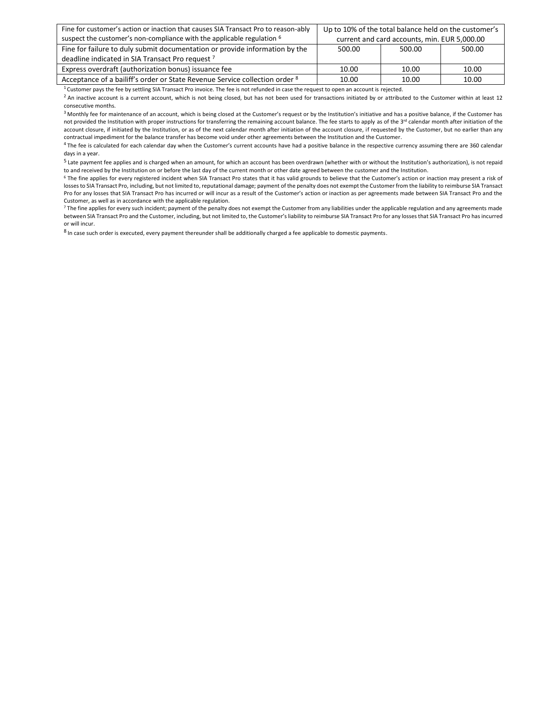| Fine for customer's action or inaction that causes SIA Transact Pro to reason-ably | Up to 10% of the total balance held on the customer's |       |        |
|------------------------------------------------------------------------------------|-------------------------------------------------------|-------|--------|
| suspect the customer's non-compliance with the applicable regulation <sup>6</sup>  | current and card accounts, min. EUR 5,000.00          |       |        |
| Fine for failure to duly submit documentation or provide information by the        | 500.00<br>500.00                                      |       | 500.00 |
| deadline indicated in SIA Transact Pro request 7                                   |                                                       |       |        |
| Express overdraft (authorization bonus) issuance fee                               | 10.00                                                 | 10.00 | 10.00  |
| Acceptance of a bailiff's order or State Revenue Service collection order 8        | 10.00                                                 | 10.00 | 10.00  |

 $1$  Customer pays the fee by settling SIA Transact Pro invoice. The fee is not refunded in case the request to open an account is rejected.

<sup>2</sup> An inactive account is a current account, which is not being closed, but has not been used for transactions initiated by or attributed to the Customer within at least 12 consecutive months.

<sup>3</sup> Monthly fee for maintenance of an account, which is being closed at the Customer's request or by the Institution's initiative and has a positive balance, if the Customer has not provided the Institution with proper instructions for transferring the remaining account balance. The fee starts to apply as of the 3<sup>rd</sup> calendar month after initiation of the account closure, if initiated by the Institution, or as of the next calendar month after initiation of the account closure, if requested by the Customer, but no earlier than any contractual impediment for the balance transfer has become void under other agreements between the Institution and the Customer.

<sup>4</sup> The fee is calculated for each calendar day when the Customer's current accounts have had a positive balance in the respective currency assuming there are 360 calendar days in a year.

<sup>5</sup> Late payment fee applies and is charged when an amount, for which an account has been overdrawn (whether with or without the Institution's authorization), is not repaid to and received by the Institution on or before the last day of the current month or other date agreed between the customer and the Institution.

<sup>6</sup> The fine applies for every registered incident when SIA Transact Pro states that it has valid grounds to believe that the Customer's action or inaction may present a risk of losses to SIA Transact Pro, including, but not limited to, reputational damage; payment of the penalty does not exempt the Customer from the liability to reimburse SIA Transact Pro for any losses that SIA Transact Pro has incurred or will incur as a result of the Customer's action or inaction as per agreements made between SIA Transact Pro and the Customer, as well as in accordance with the applicable regulation.

7 The fine applies for every such incident; payment of the penalty does not exempt the Customer from any liabilities under the applicable regulation and any agreements made between SIA Transact Pro and the Customer, including, but not limited to, the Customer's liability to reimburse SIA Transact Pro for any losses that SIA Transact Pro has incurred or will incur.

<sup>8</sup> In case such order is executed, every payment thereunder shall be additionally charged a fee applicable to domestic payments.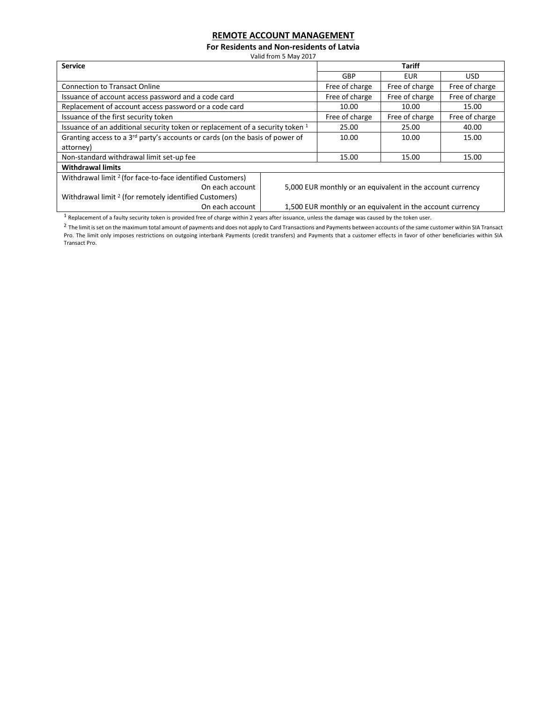# **REMOTE ACCOUNT MANAGEMENT**

**For Residents and Non-residents of Latvia**

Valid from 5 May 2017

| <b>Service</b>                                                                |                                                            |                                                            | <b>Tariff</b>  |                |
|-------------------------------------------------------------------------------|------------------------------------------------------------|------------------------------------------------------------|----------------|----------------|
|                                                                               |                                                            | GBP                                                        | EUR            | USD.           |
| <b>Connection to Transact Online</b>                                          |                                                            | Free of charge                                             | Free of charge | Free of charge |
| Issuance of account access password and a code card                           |                                                            | Free of charge                                             | Free of charge | Free of charge |
| Replacement of account access password or a code card                         |                                                            | 10.00                                                      | 10.00          | 15.00          |
| Issuance of the first security token                                          |                                                            | Free of charge                                             | Free of charge | Free of charge |
| Issuance of an additional security token or replacement of a security token 1 | 25.00                                                      | 25.00                                                      | 40.00          |                |
| Granting access to a 3rd party's accounts or cards (on the basis of power of  |                                                            | 10.00                                                      | 10.00          | 15.00          |
| attorney)                                                                     |                                                            |                                                            |                |                |
| Non-standard withdrawal limit set-up fee                                      |                                                            | 15.00                                                      | 15.00          | 15.00          |
| <b>Withdrawal limits</b>                                                      |                                                            |                                                            |                |                |
| Withdrawal limit <sup>2</sup> (for face-to-face identified Customers)         |                                                            |                                                            |                |                |
| On each account                                                               |                                                            | 5,000 EUR monthly or an equivalent in the account currency |                |                |
| Withdrawal limit <sup>2</sup> (for remotely identified Customers)             |                                                            |                                                            |                |                |
| On each account                                                               | 1,500 EUR monthly or an equivalent in the account currency |                                                            |                |                |

 $1$  Replacement of a faulty security token is provided free of charge within 2 years after issuance, unless the damage was caused by the token user.

<sup>2</sup> The limit is set on the maximum total amount of payments and does not apply to Card Transactions and Payments between accounts of the same customer within SIA Transact Pro. The limit only imposes restrictions on outgoing interbank Payments (credit transfers) and Payments that a customer effects in favor of other beneficiaries within SIA Transact Pro.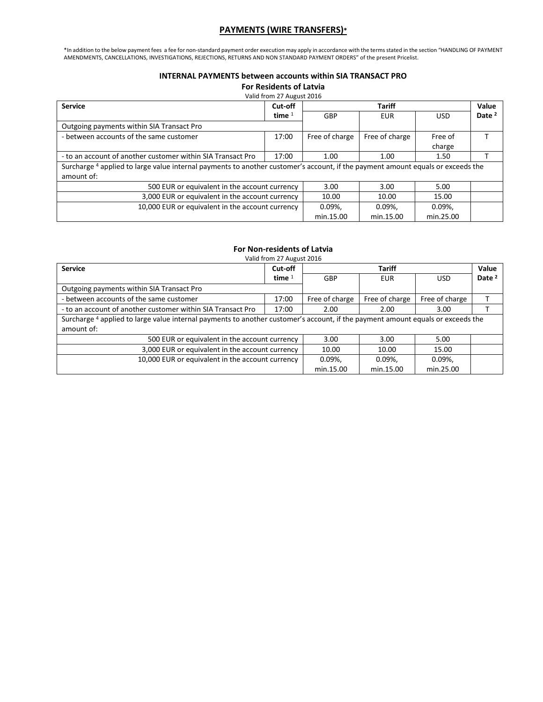# **PAYMENTS (WIRE TRANSFERS)\***

\*In addition to the below payment fees a fee for non-standard payment order execution may apply in accordance with the terms stated in the section "HANDLING OF PAYMENT AMENDMENTS, CANCELLATIONS, INVESTIGATIONS, REJECTIONS, RETURNS AND NON STANDARD PAYMENT ORDERS" of the present Pricelist.

## **INTERNAL PAYMENTS between accounts within SIA TRANSACT PRO**

**For Residents of Latvia**

| <b>Service</b>                                              | Cut-off                                                                                                                         | Value<br><b>Tariff</b> |                |                   |                   |  |  |  |
|-------------------------------------------------------------|---------------------------------------------------------------------------------------------------------------------------------|------------------------|----------------|-------------------|-------------------|--|--|--|
|                                                             | time $1$                                                                                                                        | GBP<br><b>EUR</b>      |                | <b>USD</b>        | Date <sup>2</sup> |  |  |  |
| Outgoing payments within SIA Transact Pro                   |                                                                                                                                 |                        |                |                   |                   |  |  |  |
| - between accounts of the same customer                     | 17:00                                                                                                                           | Free of charge         | Free of charge | Free of<br>charge |                   |  |  |  |
| - to an account of another customer within SIA Transact Pro | 17:00                                                                                                                           | 1.00                   | 1.00           | 1.50              |                   |  |  |  |
| amount of:                                                  | Surcharge 4 applied to large value internal payments to another customer's account, if the payment amount equals or exceeds the |                        |                |                   |                   |  |  |  |
| 500 EUR or equivalent in the account currency               |                                                                                                                                 | 3.00                   | 3.00           | 5.00              |                   |  |  |  |
| 3,000 EUR or equivalent in the account currency             |                                                                                                                                 | 10.00                  | 10.00          | 15.00             |                   |  |  |  |
| 10,000 EUR or equivalent in the account currency            |                                                                                                                                 | $0.09\%$ ,             | $0.09\%$ ,     | $0.09\%$ ,        |                   |  |  |  |
|                                                             |                                                                                                                                 | min.15.00              | min.15.00      | min.25.00         |                   |  |  |  |

# **For Non-residents of Latvia**

Valid from 27 August 2016

| <b>Service</b>                                                                                                                  | Cut-off                                                               | Value<br>Tariff   |                |                |                   |
|---------------------------------------------------------------------------------------------------------------------------------|-----------------------------------------------------------------------|-------------------|----------------|----------------|-------------------|
|                                                                                                                                 | time $1$                                                              | GBP<br><b>EUR</b> |                | <b>USD</b>     | Date <sup>2</sup> |
| Outgoing payments within SIA Transact Pro                                                                                       |                                                                       |                   |                |                |                   |
| - between accounts of the same customer                                                                                         | 17:00                                                                 | Free of charge    | Free of charge | Free of charge |                   |
| - to an account of another customer within SIA Transact Pro                                                                     | 17:00                                                                 | 2.00              | 3.00           |                |                   |
| Surcharge 4 applied to large value internal payments to another customer's account, if the payment amount equals or exceeds the |                                                                       |                   |                |                |                   |
| amount of:                                                                                                                      |                                                                       |                   |                |                |                   |
|                                                                                                                                 | 500 EUR or equivalent in the account currency<br>3.00<br>3.00<br>5.00 |                   |                |                |                   |
| 3,000 EUR or equivalent in the account currency                                                                                 |                                                                       | 10.00             | 10.00          | 15.00          |                   |
| 10,000 EUR or equivalent in the account currency                                                                                |                                                                       | $0.09\%$ ,        | $0.09\%$ ,     | $0.09\%$ .     |                   |
|                                                                                                                                 |                                                                       | min.15.00         | min.15.00      | min.25.00      |                   |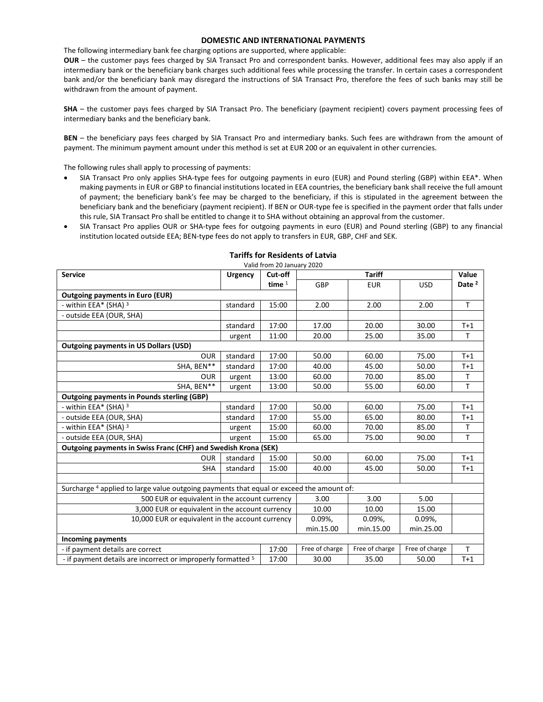#### **DOMESTIC AND INTERNATIONAL PAYMENTS**

The following intermediary bank fee charging options are supported, where applicable:

**OUR** – the customer pays fees charged by SIA Transact Pro and correspondent banks. However, additional fees may also apply if an intermediary bank or the beneficiary bank charges such additional fees while processing the transfer. In certain cases a correspondent bank and/or the beneficiary bank may disregard the instructions of SIA Transact Pro, therefore the fees of such banks may still be withdrawn from the amount of payment.

**SHA** – the customer pays fees charged by SIA Transact Pro. The beneficiary (payment recipient) covers payment processing fees of intermediary banks and the beneficiary bank.

**BEN** – the beneficiary pays fees charged by SIA Transact Pro and intermediary banks. Such fees are withdrawn from the amount of payment. The minimum payment amount under this method is set at EUR 200 or an equivalent in other currencies.

The following rules shall apply to processing of payments:

- SIA Transact Pro only applies SHA-type fees for outgoing payments in euro (EUR) and Pound sterling (GBP) within EEA\*. When making payments in EUR or GBP to financial institutions located in EEA countries, the beneficiary bank shall receive the full amount of payment; the beneficiary bank's fee may be charged to the beneficiary, if this is stipulated in the agreement between the beneficiary bank and the beneficiary (payment recipient). If BEN or OUR-type fee is specified in the payment order that falls under this rule, SIA Transact Pro shall be entitled to change it to SHA without obtaining an approval from the customer.
- SIA Transact Pro applies OUR or SHA-type fees for outgoing payments in euro (EUR) and Pound sterling (GBP) to any financial institution located outside EEA; BEN-type fees do not apply to transfers in EUR, GBP, CHF and SEK.

| <b>Service</b>                                                                           | <b>Urgency</b> | Cut-off  | <b>Tariff</b>  |                |                | Value             |
|------------------------------------------------------------------------------------------|----------------|----------|----------------|----------------|----------------|-------------------|
|                                                                                          |                | time $1$ | GBP            | <b>EUR</b>     | <b>USD</b>     | Date <sup>2</sup> |
| <b>Outgoing payments in Euro (EUR)</b>                                                   |                |          |                |                |                |                   |
| - within EEA* (SHA) 3                                                                    | standard       | 15:00    | 2.00           | 2.00           | 2.00           | $\mathsf{T}$      |
| - outside EEA (OUR, SHA)                                                                 |                |          |                |                |                |                   |
|                                                                                          | standard       | 17:00    | 17.00          | 20.00          | 30.00          | $T+1$             |
|                                                                                          | urgent         | 11:00    | 20.00          | 25.00          | 35.00          | T                 |
| <b>Outgoing payments in US Dollars (USD)</b>                                             |                |          |                |                |                |                   |
| <b>OUR</b>                                                                               | standard       | 17:00    | 50.00          | 60.00          | 75.00          | $T+1$             |
| SHA, BEN**                                                                               | standard       | 17:00    | 40.00          | 45.00          | 50.00          | $T+1$             |
| <b>OUR</b>                                                                               | urgent         | 13:00    | 60.00          | 70.00          | 85.00          | T                 |
| SHA, BEN**                                                                               | urgent         | 13:00    | 50.00          | 55.00          | 60.00          | $\mathsf{T}$      |
| <b>Outgoing payments in Pounds sterling (GBP)</b>                                        |                |          |                |                |                |                   |
| - within EEA* (SHA) 3                                                                    | standard       | 17:00    | 50.00          | 60.00          | 75.00          | $T+1$             |
| - outside EEA (OUR, SHA)                                                                 | standard       | 17:00    | 55.00          | 65.00          | 80.00          | $T+1$             |
| - within EEA* (SHA) 3                                                                    | urgent         | 15:00    | 60.00          | 70.00          | 85.00          | T.                |
| - outside EEA (OUR, SHA)                                                                 | urgent         | 15:00    | 65.00          | 75.00          | 90.00          | T                 |
| Outgoing payments in Swiss Franc (CHF) and Swedish Krona (SEK)                           |                |          |                |                |                |                   |
| <b>OUR</b>                                                                               | standard       | 15:00    | 50.00          | 60.00          | 75.00          | $T+1$             |
| <b>SHA</b>                                                                               | standard       | 15:00    | 40.00          | 45.00          | 50.00          | $T+1$             |
|                                                                                          |                |          |                |                |                |                   |
| Surcharge 4 applied to large value outgoing payments that equal or exceed the amount of: |                |          |                |                |                |                   |
| 500 EUR or equivalent in the account currency                                            |                |          | 3.00           | 3.00           | 5.00           |                   |
| 3,000 EUR or equivalent in the account currency                                          |                |          | 10.00          | 10.00          | 15.00          |                   |
| 10,000 EUR or equivalent in the account currency                                         |                |          | 0.09%          | 0.09%          | 0.09%          |                   |
|                                                                                          |                |          | min.15.00      | min.15.00      | min.25.00      |                   |
| <b>Incoming payments</b>                                                                 |                |          |                |                |                |                   |
| - if payment details are correct                                                         |                | 17:00    | Free of charge | Free of charge | Free of charge | T.                |
| - if payment details are incorrect or improperly formatted <sup>5</sup>                  |                | 17:00    | 30.00          | 35.00          | 50.00          | $T+1$             |

## **Tariffs for Residents of Latvia**

Valid from 20 January 2020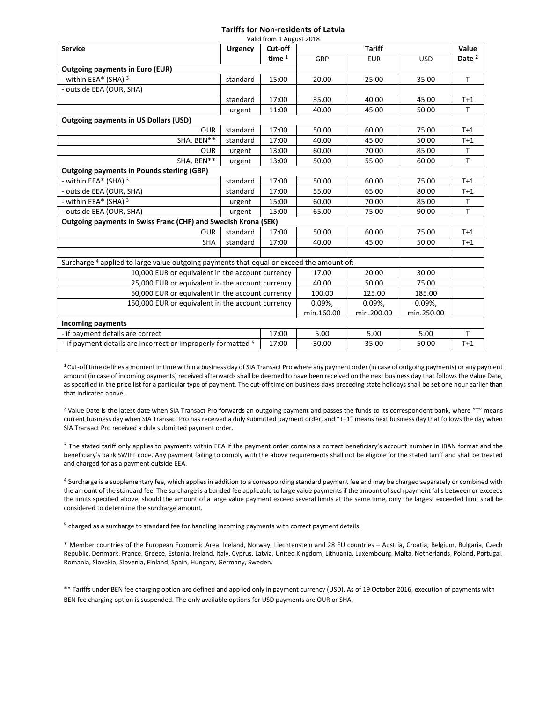## **Tariffs for Non-residents of Latvia**

| Valid from 1 August 2018                                                                 |                |          |               |            |            |                   |  |
|------------------------------------------------------------------------------------------|----------------|----------|---------------|------------|------------|-------------------|--|
| <b>Service</b>                                                                           | <b>Urgency</b> | Cut-off  | <b>Tariff</b> |            |            | Value             |  |
|                                                                                          |                | time $1$ | GBP           | <b>EUR</b> | <b>USD</b> | Date <sup>2</sup> |  |
| <b>Outgoing payments in Euro (EUR)</b>                                                   |                |          |               |            |            |                   |  |
| - within EEA* (SHA) 3                                                                    | standard       | 15:00    | 20.00         | 25.00      | 35.00      | T.                |  |
| - outside EEA (OUR, SHA)                                                                 |                |          |               |            |            |                   |  |
|                                                                                          | standard       | 17:00    | 35.00         | 40.00      | 45.00      | $T+1$             |  |
|                                                                                          | urgent         | 11:00    | 40.00         | 45.00      | 50.00      | $\mathsf{T}$      |  |
| <b>Outgoing payments in US Dollars (USD)</b>                                             |                |          |               |            |            |                   |  |
| <b>OUR</b>                                                                               | standard       | 17:00    | 50.00         | 60.00      | 75.00      | $T+1$             |  |
| SHA, BEN**                                                                               | standard       | 17:00    | 40.00         | 45.00      | 50.00      | $T+1$             |  |
| <b>OUR</b>                                                                               | urgent         | 13:00    | 60.00         | 70.00      | 85.00      | т                 |  |
| SHA, BEN**                                                                               | urgent         | 13:00    | 50.00         | 55.00      | 60.00      | T                 |  |
| <b>Outgoing payments in Pounds sterling (GBP)</b>                                        |                |          |               |            |            |                   |  |
| - within EEA* (SHA) 3                                                                    | standard       | 17:00    | 50.00         | 60.00      | 75.00      | $T+1$             |  |
| - outside EEA (OUR, SHA)                                                                 | standard       | 17:00    | 55.00         | 65.00      | 80.00      | $T+1$             |  |
| - within EEA* (SHA) 3                                                                    | urgent         | 15:00    | 60.00         | 70.00      | 85.00      | T                 |  |
| - outside EEA (OUR, SHA)                                                                 | urgent         | 15:00    | 65.00         | 75.00      | 90.00      | T                 |  |
| Outgoing payments in Swiss Franc (CHF) and Swedish Krona (SEK)                           |                |          |               |            |            |                   |  |
| <b>OUR</b>                                                                               | standard       | 17:00    | 50.00         | 60.00      | 75.00      | $T+1$             |  |
| <b>SHA</b>                                                                               | standard       | 17:00    | 40.00         | 45.00      | 50.00      | $T+1$             |  |
|                                                                                          |                |          |               |            |            |                   |  |
| Surcharge 4 applied to large value outgoing payments that equal or exceed the amount of: |                |          |               |            |            |                   |  |
| 10,000 EUR or equivalent in the account currency                                         |                |          | 17.00         | 20.00      | 30.00      |                   |  |
| 25,000 EUR or equivalent in the account currency                                         |                |          | 40.00         | 50.00      | 75.00      |                   |  |
| 50,000 EUR or equivalent in the account currency                                         |                |          | 100.00        | 125.00     | 185.00     |                   |  |
| 150,000 EUR or equivalent in the account currency                                        |                |          | 0.09%         | 0.09%,     | 0.09%      |                   |  |
|                                                                                          |                |          | min.160.00    | min.200.00 | min.250.00 |                   |  |
| <b>Incoming payments</b>                                                                 |                |          |               |            |            |                   |  |
| - if payment details are correct                                                         |                | 17:00    | 5.00          | 5.00       | 5.00       | T.                |  |
| - if payment details are incorrect or improperly formatted <sup>5</sup>                  |                | 17:00    | 30.00         | 35.00      | 50.00      | $T+1$             |  |

 $1$ Cut-off time defines a moment in time within a business day of SIA Transact Pro where any payment order (in case of outgoing payments) or any payment amount (in case of incoming payments) received afterwards shall be deemed to have been received on the next business day that follows the Value Date, as specified in the price list for a particular type of payment. The cut-off time on business days preceding state holidays shall be set one hour earlier than that indicated above.

<sup>2</sup> Value Date is the latest date when SIA Transact Pro forwards an outgoing payment and passes the funds to its correspondent bank, where "T" means current business day when SIA Transact Pro has received a duly submitted payment order, and "T+1" means next business day that follows the day when SIA Transact Pro received a duly submitted payment order.

<sup>3</sup> The stated tariff only applies to payments within EEA if the payment order contains a correct beneficiary's account number in IBAN format and the beneficiary's bank SWIFT code. Any payment failing to comply with the above requirements shall not be eligible for the stated tariff and shall be treated and charged for as a payment outside EEA.

<sup>4</sup> Surcharge is a supplementary fee, which applies in addition to a corresponding standard payment fee and may be charged separately or combined with the amount of the standard fee. The surcharge is a banded fee applicable to large value payments if the amount of such payment falls between or exceeds the limits specified above; should the amount of a large value payment exceed several limits at the same time, only the largest exceeded limit shall be considered to determine the surcharge amount.

<sup>5</sup> charged as a surcharge to standard fee for handling incoming payments with correct payment details.

\* Member countries of the European Economic Area: Iceland, Norway, Liechtenstein and 28 EU countries – Austria, Croatia, Belgium, Bulgaria, Czech Republic, Denmark, France, Greece, Estonia, Ireland, Italy, Cyprus, Latvia, United Kingdom, Lithuania, Luxembourg, Malta, Netherlands, Poland, Portugal, Romania, Slovakia, Slovenia, Finland, Spain, Hungary, Germany, Sweden.

\*\* Tariffs under BEN fee charging option are defined and applied only in payment currency (USD). As of 19 October 2016, execution of payments with BEN fee charging option is suspended. The only available options for USD payments are OUR or SHA.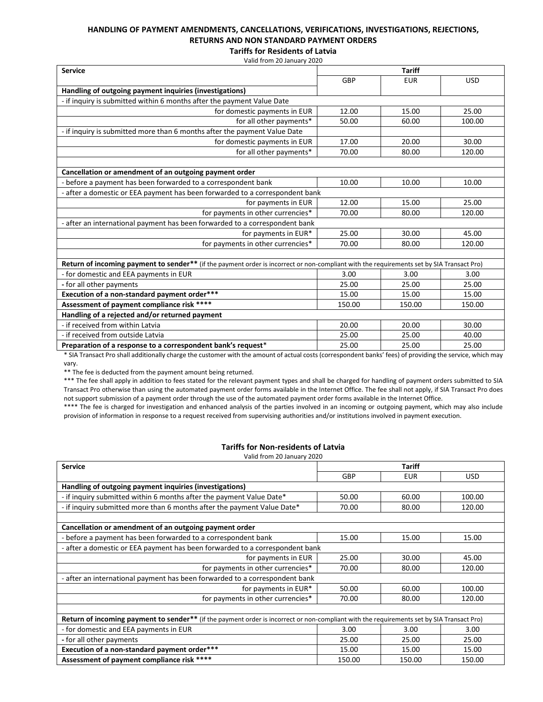# **HANDLING OF PAYMENT AMENDMENTS, CANCELLATIONS, VERIFICATIONS, INVESTIGATIONS, REJECTIONS, RETURNS AND NON STANDARD PAYMENT ORDERS**

**Tariffs for Residents of Latvia** Valid from 20 January 2020

| <b>Service</b>                                                                                                                            | <b>Tariff</b> |            |            |
|-------------------------------------------------------------------------------------------------------------------------------------------|---------------|------------|------------|
|                                                                                                                                           | GBP           | <b>EUR</b> | <b>USD</b> |
| Handling of outgoing payment inquiries (investigations)                                                                                   |               |            |            |
| - if inquiry is submitted within 6 months after the payment Value Date                                                                    |               |            |            |
| for domestic payments in EUR                                                                                                              | 12.00         | 15.00      | 25.00      |
| for all other payments*                                                                                                                   | 50.00         | 60.00      | 100.00     |
| - if inquiry is submitted more than 6 months after the payment Value Date                                                                 |               |            |            |
| for domestic payments in EUR                                                                                                              | 17.00         | 20.00      | 30.00      |
| for all other payments*                                                                                                                   | 70.00         | 80.00      | 120.00     |
|                                                                                                                                           |               |            |            |
| Cancellation or amendment of an outgoing payment order                                                                                    |               |            |            |
| - before a payment has been forwarded to a correspondent bank                                                                             | 10.00         | 10.00      | 10.00      |
| - after a domestic or EEA payment has been forwarded to a correspondent bank                                                              |               |            |            |
| for payments in EUR                                                                                                                       | 12.00         | 15.00      | 25.00      |
| for payments in other currencies*                                                                                                         | 70.00         | 80.00      | 120.00     |
| - after an international payment has been forwarded to a correspondent bank                                                               |               |            |            |
| for payments in EUR*                                                                                                                      | 25.00         | 30.00      | 45.00      |
| for payments in other currencies*                                                                                                         | 70.00         | 80.00      | 120.00     |
|                                                                                                                                           |               |            |            |
| Return of incoming payment to sender** (if the payment order is incorrect or non-compliant with the requirements set by SIA Transact Pro) |               |            |            |
| - for domestic and EEA payments in EUR                                                                                                    | 3.00          | 3.00       | 3.00       |
| - for all other payments                                                                                                                  | 25.00         | 25.00      | 25.00      |
| Execution of a non-standard payment order***                                                                                              | 15.00         | 15.00      | 15.00      |
| Assessment of payment compliance risk ****                                                                                                | 150.00        | 150.00     | 150.00     |
| Handling of a rejected and/or returned payment                                                                                            |               |            |            |
| - if received from within Latvia                                                                                                          | 20.00         | 20.00      | 30.00      |
| - if received from outside Latvia                                                                                                         | 25.00         | 25.00      | 40.00      |
| Preparation of a response to a correspondent bank's request*                                                                              | 25.00         | 25.00      | 25.00      |

\* SIA Transact Pro shall additionally charge the customer with the amount of actual costs (correspondent banks' fees) of providing the service, which may vary.

\*\* The fee is deducted from the payment amount being returned.

\*\*\* The fee shall apply in addition to fees stated for the relevant payment types and shall be charged for handling of payment orders submitted to SIA Transact Pro otherwise than using the automated payment order forms available in the Internet Office. The fee shall not apply, if SIA Transact Pro does not support submission of a payment order through the use of the automated payment order forms available in the Internet Office.

\*\*\*\* The fee is charged for investigation and enhanced analysis of the parties involved in an incoming or outgoing payment, which may also include provision of information in response to a request received from supervising authorities and/or institutions involved in payment execution.

#### **Tariffs for Non-residents of Latvia**

Valid from 20 January 2020

| <b>Service</b>                                                                                                                                   | <b>Tariff</b> |            |        |  |
|--------------------------------------------------------------------------------------------------------------------------------------------------|---------------|------------|--------|--|
|                                                                                                                                                  | GBP           | <b>EUR</b> | USD.   |  |
| Handling of outgoing payment inquiries (investigations)                                                                                          |               |            |        |  |
| - if inquiry submitted within 6 months after the payment Value Date*                                                                             | 50.00         | 60.00      | 100.00 |  |
| - if inquiry submitted more than 6 months after the payment Value Date*                                                                          | 70.00         | 80.00      | 120.00 |  |
|                                                                                                                                                  |               |            |        |  |
| Cancellation or amendment of an outgoing payment order                                                                                           |               |            |        |  |
| - before a payment has been forwarded to a correspondent bank                                                                                    | 15.00         | 15.00      | 15.00  |  |
| - after a domestic or EEA payment has been forwarded to a correspondent bank                                                                     |               |            |        |  |
| for payments in EUR                                                                                                                              | 25.00         | 30.00      | 45.00  |  |
| for payments in other currencies*                                                                                                                | 70.00         | 80.00      | 120.00 |  |
| - after an international payment has been forwarded to a correspondent bank                                                                      |               |            |        |  |
| for payments in EUR*                                                                                                                             | 50.00         | 60.00      | 100.00 |  |
| for payments in other currencies*                                                                                                                | 70.00         | 80.00      | 120.00 |  |
|                                                                                                                                                  |               |            |        |  |
| <b>Return of incoming payment to sender**</b> (if the payment order is incorrect or non-compliant with the requirements set by SIA Transact Pro) |               |            |        |  |
| - for domestic and EEA payments in EUR                                                                                                           | 3.00          | 3.00       | 3.00   |  |
| - for all other payments                                                                                                                         | 25.00         | 25.00      | 25.00  |  |
| Execution of a non-standard payment order***                                                                                                     | 15.00         | 15.00      | 15.00  |  |
| Assessment of payment compliance risk ****                                                                                                       | 150.00        | 150.00     | 150.00 |  |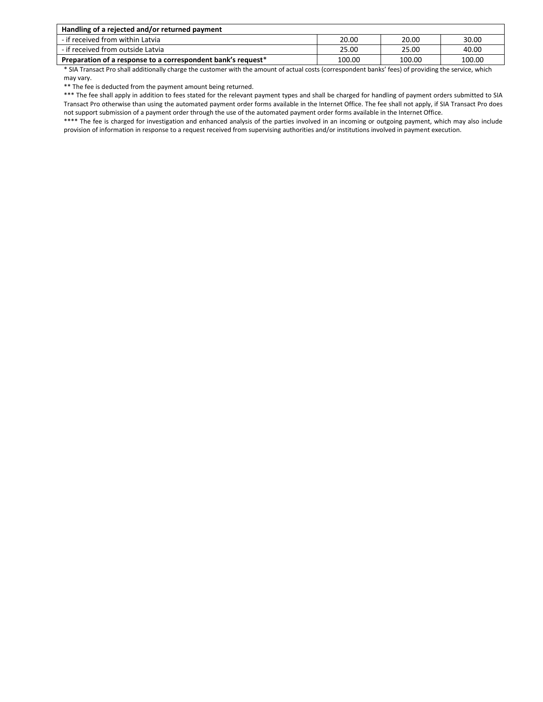| Handling of a rejected and/or returned payment               |        |        |        |  |  |  |
|--------------------------------------------------------------|--------|--------|--------|--|--|--|
| - if received from within Latvia                             | 20.00  | 20.00  | 30.00  |  |  |  |
| - if received from outside Latvia                            | 25.00  | 25.00  | 40.00  |  |  |  |
| Preparation of a response to a correspondent bank's request* | 100.00 | 100.00 | 100.00 |  |  |  |

\* SIA Transact Pro shall additionally charge the customer with the amount of actual costs (correspondent banks' fees) of providing the service, which may vary.

\*\* The fee is deducted from the payment amount being returned.

\*\*\* The fee shall apply in addition to fees stated for the relevant payment types and shall be charged for handling of payment orders submitted to SIA Transact Pro otherwise than using the automated payment order forms available in the Internet Office. The fee shall not apply, if SIA Transact Pro does not support submission of a payment order through the use of the automated payment order forms available in the Internet Office.

\*\*\*\* The fee is charged for investigation and enhanced analysis of the parties involved in an incoming or outgoing payment, which may also include provision of information in response to a request received from supervising authorities and/or institutions involved in payment execution.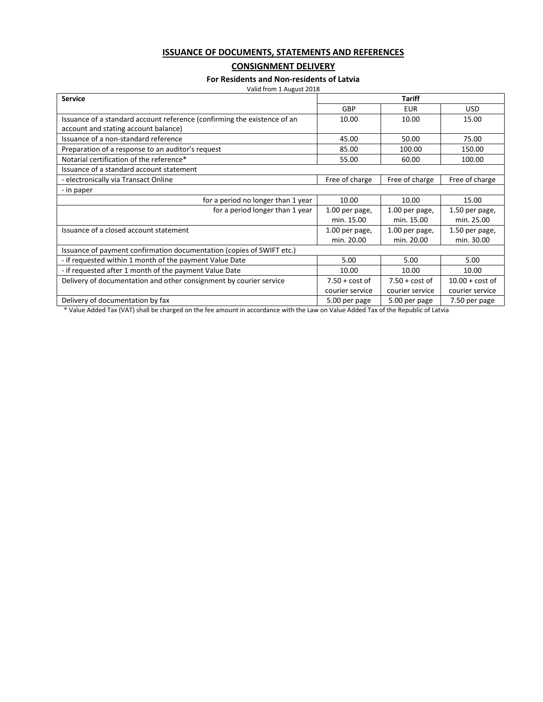## **ISSUANCE OF DOCUMENTS, STATEMENTS AND REFERENCES**

## **CONSIGNMENT DELIVERY**

#### **For Residents and Non-residents of Latvia**

| Valid from 1 August 2018 |  |
|--------------------------|--|
|                          |  |

| <b>Service</b>                                                           | <b>Tariff</b>    |                  |                   |  |
|--------------------------------------------------------------------------|------------------|------------------|-------------------|--|
|                                                                          | GBP              | <b>EUR</b>       | <b>USD</b>        |  |
| Issuance of a standard account reference (confirming the existence of an | 10.00            | 10.00            | 15.00             |  |
| account and stating account balance)                                     |                  |                  |                   |  |
| Issuance of a non-standard reference                                     | 45.00            | 50.00            | 75.00             |  |
| Preparation of a response to an auditor's request                        | 85.00            | 100.00           | 150.00            |  |
| Notarial certification of the reference*                                 | 55.00            | 60.00            | 100.00            |  |
| Issuance of a standard account statement                                 |                  |                  |                   |  |
| - electronically via Transact Online                                     | Free of charge   | Free of charge   | Free of charge    |  |
| - in paper                                                               |                  |                  |                   |  |
| for a period no longer than 1 year                                       | 10.00            | 10.00            | 15.00             |  |
| for a period longer than 1 year                                          | 1.00 per page,   | 1.00 per page,   | 1.50 per page,    |  |
|                                                                          | min. 15.00       | min. 15.00       | min. 25.00        |  |
| Issuance of a closed account statement                                   | 1.00 per page,   | 1.00 per page,   | 1.50 per page,    |  |
|                                                                          | min. 20.00       | min. 20.00       | min. 30.00        |  |
| Issuance of payment confirmation documentation (copies of SWIFT etc.)    |                  |                  |                   |  |
| - if requested within 1 month of the payment Value Date                  | 5.00             | 5.00             | 5.00              |  |
| - if requested after 1 month of the payment Value Date                   | 10.00            | 10.00            | 10.00             |  |
| Delivery of documentation and other consignment by courier service       | $7.50 + cost of$ | $7.50 + cost of$ | $10.00 + cost of$ |  |
|                                                                          | courier service  | courier service  | courier service   |  |
| Delivery of documentation by fax                                         | 5.00 per page    | 5.00 per page    | 7.50 per page     |  |

\* Value Added Tax (VAT) shall be charged on the fee amount in accordance with the Law on Value Added Tax of the Republic of Latvia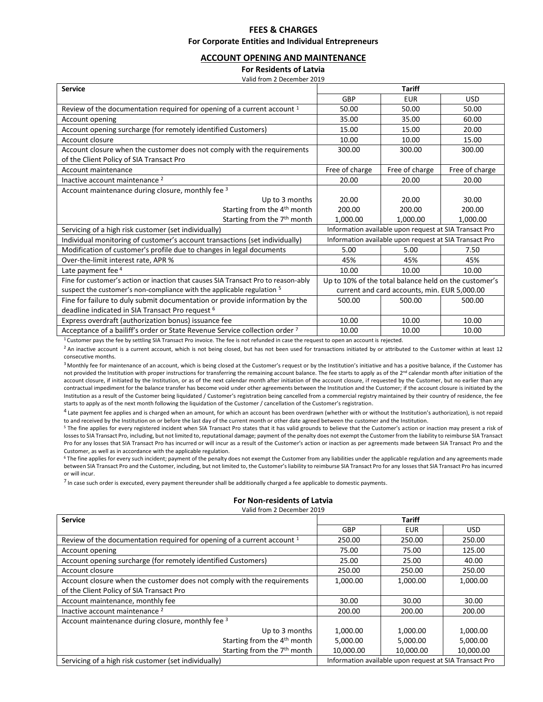## **FEES & CHARGES For Corporate Entities and Individual Entrepreneurs**

#### **ACCOUNT OPENING AND MAINTENANCE**

**For Residents of Latvia**

| Valid from 2 December 2019                                                         |                                                       |                                                        |                |  |
|------------------------------------------------------------------------------------|-------------------------------------------------------|--------------------------------------------------------|----------------|--|
| <b>Service</b>                                                                     |                                                       | <b>Tariff</b>                                          |                |  |
|                                                                                    | GBP                                                   | <b>EUR</b>                                             | <b>USD</b>     |  |
| Review of the documentation required for opening of a current account <sup>1</sup> | 50.00                                                 | 50.00                                                  | 50.00          |  |
| Account opening                                                                    | 35.00                                                 | 35.00                                                  | 60.00          |  |
| Account opening surcharge (for remotely identified Customers)                      | 15.00                                                 | 15.00                                                  | 20.00          |  |
| Account closure                                                                    | 10.00                                                 | 10.00                                                  | 15.00          |  |
| Account closure when the customer does not comply with the requirements            | 300.00                                                | 300.00                                                 | 300.00         |  |
| of the Client Policy of SIA Transact Pro                                           |                                                       |                                                        |                |  |
| Account maintenance                                                                | Free of charge                                        | Free of charge                                         | Free of charge |  |
| Inactive account maintenance <sup>2</sup>                                          | 20.00                                                 | 20.00                                                  | 20.00          |  |
| Account maintenance during closure, monthly fee 3                                  |                                                       |                                                        |                |  |
| Up to 3 months                                                                     | 20.00                                                 | 20.00                                                  | 30.00          |  |
| Starting from the 4 <sup>th</sup> month                                            | 200.00                                                | 200.00                                                 | 200.00         |  |
| Starting from the 7 <sup>th</sup> month                                            | 1,000.00                                              | 1,000.00                                               | 1,000.00       |  |
| Servicing of a high risk customer (set individually)                               |                                                       | Information available upon request at SIA Transact Pro |                |  |
| Individual monitoring of customer's account transactions (set individually)        |                                                       | Information available upon request at SIA Transact Pro |                |  |
| Modification of customer's profile due to changes in legal documents               | 5.00                                                  | 5.00                                                   | 7.50           |  |
| Over-the-limit interest rate, APR %                                                | 45%                                                   | 45%                                                    | 45%            |  |
| Late payment fee 4                                                                 | 10.00                                                 | 10.00                                                  | 10.00          |  |
| Fine for customer's action or inaction that causes SIA Transact Pro to reason-ably | Up to 10% of the total balance held on the customer's |                                                        |                |  |
| suspect the customer's non-compliance with the applicable regulation <sup>5</sup>  | current and card accounts, min. EUR 5,000.00          |                                                        |                |  |
| Fine for failure to duly submit documentation or provide information by the        | 500.00                                                | 500.00                                                 | 500.00         |  |
| deadline indicated in SIA Transact Pro request <sup>6</sup>                        |                                                       |                                                        |                |  |
| Express overdraft (authorization bonus) issuance fee                               | 10.00                                                 | 10.00                                                  | 10.00          |  |
| Acceptance of a bailiff's order or State Revenue Service collection order 7        | 10.00                                                 | 10.00                                                  | 10.00          |  |

 $1$  Customer pays the fee by settling SIA Transact Pro invoice. The fee is not refunded in case the request to open an account is rejected.

<sup>2</sup> An inactive account is a current account, which is not being closed, but has not been used for transactions initiated by or attributed to the Customer within at least 12 consecutive months.

<sup>3</sup> Monthly fee for maintenance of an account, which is being closed at the Customer's request or by the Institution's initiative and has a positive balance, if the Customer has not provided the Institution with proper instructions for transferring the remaining account balance. The fee starts to apply as of the 2<sup>nd</sup> calendar month after initiation of the account closure, if initiated by the Institution, or as of the next calendar month after initiation of the account closure, if requested by the Customer, but no earlier than any contractual impediment for the balance transfer has become void under other agreements between the Institution and the Customer; if the account closure is initiated by the Institution as a result of the Customer being liquidated / Customer's registration being cancelled from a commercial registry maintained by their country of residence, the fee starts to apply as of the next month following the liquidation of the Customer / cancellation of the Customer's registration.

<sup>4</sup> Late payment fee applies and is charged when an amount, for which an account has been overdrawn (whether with or without the Institution's authorization), is not repaid to and received by the Institution on or before the last day of the current month or other date agreed between the customer and the Institution.

<sup>5</sup> The fine applies for every registered incident when SIA Transact Pro states that it has valid grounds to believe that the Customer's action or inaction may present a risk of losses to SIA Transact Pro, including, but not limited to, reputational damage; payment of the penalty does not exempt the Customer from the liability to reimburse SIA Transact Pro for any losses that SIA Transact Pro has incurred or will incur as a result of the Customer's action or inaction as per agreements made between SIA Transact Pro and the Customer, as well as in accordance with the applicable regulation.

<sup>6</sup> The fine applies for every such incident; payment of the penalty does not exempt the Customer from any liabilities under the applicable regulation and any agreements made between SIA Transact Pro and the Customer, including, but not limited to, the Customer's liability to reimburse SIA Transact Pro for any losses that SIA Transact Pro has incurred or will incur.

<sup>7</sup> In case such order is executed, every payment thereunder shall be additionally charged a fee applicable to domestic payments.

#### **For Non-residents of Latvia**

Valid from 2 December 2019

| <b>Service</b>                                                          | <b>Tariff</b> |                                                        |            |  |
|-------------------------------------------------------------------------|---------------|--------------------------------------------------------|------------|--|
|                                                                         | <b>GBP</b>    | <b>EUR</b>                                             | <b>USD</b> |  |
| Review of the documentation required for opening of a current account 1 | 250.00        | 250.00                                                 | 250.00     |  |
| Account opening                                                         | 75.00         | 75.00                                                  | 125.00     |  |
| Account opening surcharge (for remotely identified Customers)           | 25.00         | 25.00                                                  | 40.00      |  |
| Account closure                                                         | 250.00        | 250.00                                                 | 250.00     |  |
| Account closure when the customer does not comply with the requirements | 1,000.00      | 1,000.00                                               | 1,000.00   |  |
| of the Client Policy of SIA Transact Pro                                |               |                                                        |            |  |
| Account maintenance, monthly fee                                        | 30.00         | 30.00                                                  | 30.00      |  |
| Inactive account maintenance <sup>2</sup>                               | 200.00        | 200.00                                                 | 200.00     |  |
| Account maintenance during closure, monthly fee 3                       |               |                                                        |            |  |
| Up to 3 months                                                          | 1,000.00      | 1,000.00                                               | 1,000.00   |  |
| Starting from the 4 <sup>th</sup> month                                 | 5,000.00      | 5,000.00                                               | 5,000.00   |  |
| Starting from the 7 <sup>th</sup> month                                 | 10,000.00     | 10,000.00                                              | 10,000.00  |  |
| Servicing of a high risk customer (set individually)                    |               | Information available upon request at SIA Transact Pro |            |  |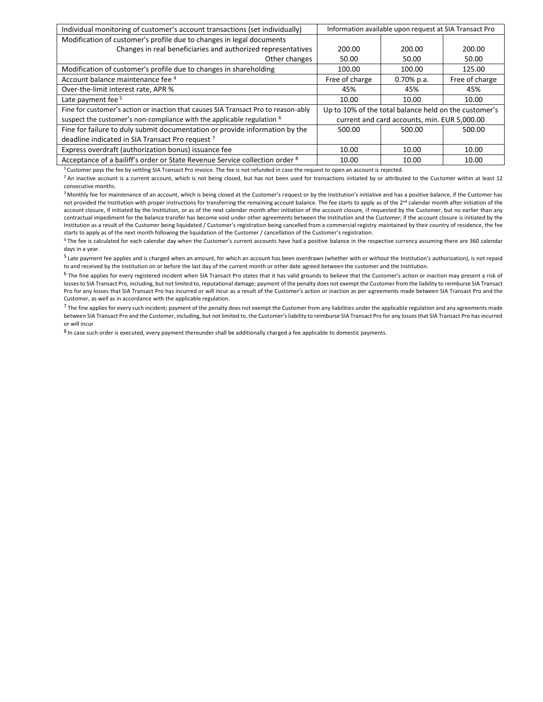| Individual monitoring of customer's account transactions (set individually)        | Information available upon request at SIA Transact Pro |                                                       |                |
|------------------------------------------------------------------------------------|--------------------------------------------------------|-------------------------------------------------------|----------------|
| Modification of customer's profile due to changes in legal documents               |                                                        |                                                       |                |
| Changes in real beneficiaries and authorized representatives                       | 200.00                                                 | 200.00                                                | 200.00         |
| Other changes                                                                      | 50.00                                                  | 50.00                                                 | 50.00          |
| Modification of customer's profile due to changes in shareholding                  | 100.00                                                 | 100.00                                                | 125.00         |
| Account balance maintenance fee 4                                                  | Free of charge                                         | $0.70\%$ p.a.                                         | Free of charge |
| Over-the-limit interest rate, APR %                                                | 45%                                                    | 45%                                                   | 45%            |
| Late payment fee <sup>5</sup>                                                      | 10.00                                                  | 10.00                                                 | 10.00          |
| Fine for customer's action or inaction that causes SIA Transact Pro to reason-ably |                                                        | Up to 10% of the total balance held on the customer's |                |
| suspect the customer's non-compliance with the applicable regulation $6$           |                                                        | current and card accounts, min. EUR 5,000.00          |                |
| Fine for failure to duly submit documentation or provide information by the        | 500.00                                                 | 500.00                                                | 500.00         |
| deadline indicated in SIA Transact Pro request <sup>7</sup>                        |                                                        |                                                       |                |
| Express overdraft (authorization bonus) issuance fee                               | 10.00                                                  | 10.00                                                 | 10.00          |
| Acceptance of a bailiff's order or State Revenue Service collection order 8        | 10.00                                                  | 10.00                                                 | 10.00          |

 $1$  Customer pays the fee by settling SIA Transact Pro invoice. The fee is not refunded in case the request to open an account is rejected.

<sup>2</sup> An inactive account is a current account, which is not being closed, but has not been used for transactions initiated by or attributed to the Customer within at least 12 consecutive months.

<sup>3</sup> Monthly fee for maintenance of an account, which is being closed at the Customer's request or by the Institution's initiative and has a positive balance, if the Customer has not provided the Institution with proper instructions for transferring the remaining account balance. The fee starts to apply as of the 2<sup>nd</sup> calendar month after initiation of the account closure, if initiated by the Institution, or as of the next calendar month after initiation of the account closure, if requested by the Customer, but no earlier than any contractual impediment for the balance transfer has become void under other agreements between the Institution and the Customer; if the account closure is initiated by the Institution as a result of the Customer being liquidated / Customer's registration being cancelled from a commercial registry maintained by their country of residence, the fee starts to apply as of the next month following the liquidation of the Customer / cancellation of the Customer's registration.

<sup>4</sup> The fee is calculated for each calendar day when the Customer's current accounts have had a positive balance in the respective currency assuming there are 360 calendar days in a year.

<sup>5</sup> Late payment fee applies and is charged when an amount, for which an account has been overdrawn (whether with or without the Institution's authorization), is not repaid to and received by the Institution on or before the last day of the current month or other date agreed between the customer and the Institution.

<sup>6</sup> The fine applies for every registered incident when SIA Transact Pro states that it has valid grounds to believe that the Customer's action or inaction may present a risk of losses to SIA Transact Pro, including, but not limited to, reputational damage; payment of the penalty does not exempt the Customer from the liability to reimburse SIA Transact Pro for any losses that SIA Transact Pro has incurred or will incur as a result of the Customer's action or inaction as per agreements made between SIA Transact Pro and the Customer, as well as in accordance with the applicable regulation.

 $7$  The fine applies for every such incident; payment of the penalty does not exempt the Customer from any liabilities under the applicable regulation and any agreements made between SIA Transact Pro and the Customer, including, but not limited to, the Customer's liability to reimburse SIA Transact Pro for any losses that SIA Transact Pro has incurred or will incur

<sup>8</sup> In case such order is executed, every payment thereunder shall be additionally charged a fee applicable to domestic payments.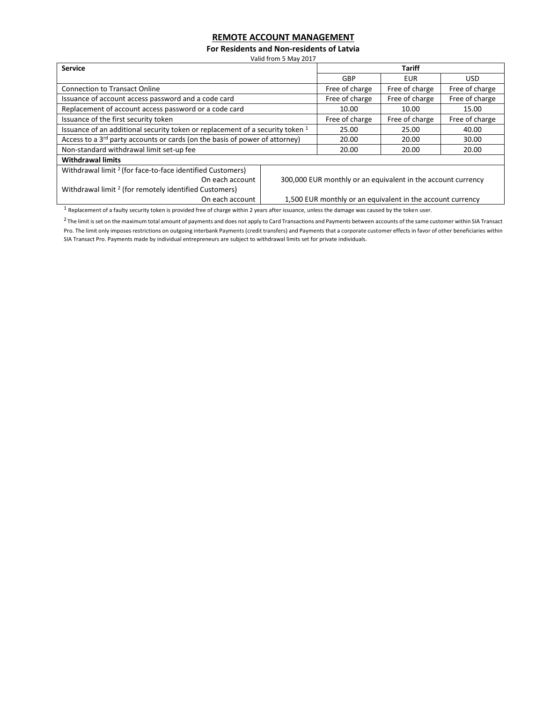# **REMOTE ACCOUNT MANAGEMENT**

**For Residents and Non-residents of Latvia**

Valid from 5 May 2017

| <b>Service</b>                                                                          |                                                              | <b>Tariff</b>                                              |                |                |  |
|-----------------------------------------------------------------------------------------|--------------------------------------------------------------|------------------------------------------------------------|----------------|----------------|--|
|                                                                                         |                                                              | GBP                                                        | <b>EUR</b>     | USD.           |  |
| <b>Connection to Transact Online</b>                                                    | Free of charge                                               | Free of charge                                             | Free of charge |                |  |
| Issuance of account access password and a code card                                     |                                                              | Free of charge                                             | Free of charge | Free of charge |  |
| Replacement of account access password or a code card                                   | 10.00                                                        | 10.00                                                      | 15.00          |                |  |
| Issuance of the first security token                                                    | Free of charge                                               | Free of charge                                             | Free of charge |                |  |
| Issuance of an additional security token or replacement of a security token 1           | 25.00                                                        | 25.00                                                      | 40.00          |                |  |
| Access to a 3 <sup>rd</sup> party accounts or cards (on the basis of power of attorney) |                                                              | 20.00                                                      | 20.00          | 30.00          |  |
| Non-standard withdrawal limit set-up fee                                                |                                                              | 20.00                                                      | 20.00          | 20.00          |  |
| <b>Withdrawal limits</b>                                                                |                                                              |                                                            |                |                |  |
| Withdrawal limit <sup>2</sup> (for face-to-face identified Customers)                   |                                                              |                                                            |                |                |  |
| On each account                                                                         | 300,000 EUR monthly or an equivalent in the account currency |                                                            |                |                |  |
| Withdrawal limit <sup>2</sup> (for remotely identified Customers)                       |                                                              |                                                            |                |                |  |
| On each account                                                                         |                                                              | 1,500 EUR monthly or an equivalent in the account currency |                |                |  |

<sup>1</sup> Replacement of a faulty security token is provided free of charge within 2 years after issuance, unless the damage was caused by the token user.

<sup>2</sup>The limit is set on the maximum total amount of payments and does not apply to Card Transactions and Payments between accounts of the same customer within SIA Transact Pro. The limit only imposes restrictions on outgoing interbank Payments (credit transfers) and Payments that a corporate customer effects in favor of other beneficiaries within SIA Transact Pro. Payments made by individual entrepreneurs are subject to withdrawal limits set for private individuals.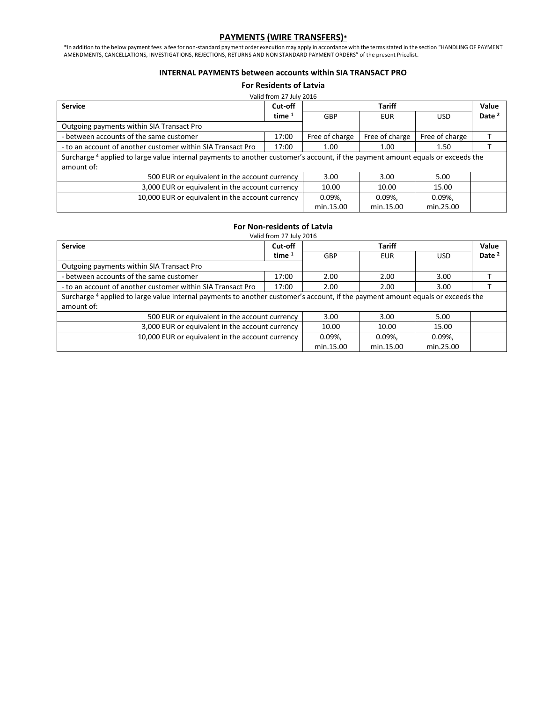# **PAYMENTS (WIRE TRANSFERS)\***

\*In addition to the below payment fees a fee for non-standard payment order execution may apply in accordance with the terms stated in the section "HANDLING OF PAYMENT AMENDMENTS, CANCELLATIONS, INVESTIGATIONS, REJECTIONS, RETURNS AND NON STANDARD PAYMENT ORDERS" of the present Pricelist.

#### **INTERNAL PAYMENTS between accounts within SIA TRANSACT PRO**

**For Residents of Latvia**

| Valid from 27 July 2016                                                                                                         |          |                          |                |                |                   |
|---------------------------------------------------------------------------------------------------------------------------------|----------|--------------------------|----------------|----------------|-------------------|
| <b>Service</b>                                                                                                                  | Cut-off  |                          | <b>Tariff</b>  |                | Value             |
|                                                                                                                                 | time $1$ | <b>GBP</b><br><b>EUR</b> |                | <b>USD</b>     | Date <sup>2</sup> |
| Outgoing payments within SIA Transact Pro                                                                                       |          |                          |                |                |                   |
| - between accounts of the same customer                                                                                         | 17:00    | Free of charge           | Free of charge | Free of charge |                   |
| - to an account of another customer within SIA Transact Pro                                                                     | 17:00    | 1.00                     | 1.00           | 1.50           |                   |
| Surcharge 4 applied to large value internal payments to another customer's account, if the payment amount equals or exceeds the |          |                          |                |                |                   |
| amount of:                                                                                                                      |          |                          |                |                |                   |
| 500 EUR or equivalent in the account currency                                                                                   |          | 3.00                     | 3.00           | 5.00           |                   |
| 3,000 EUR or equivalent in the account currency                                                                                 | 10.00    | 10.00                    | 15.00          |                |                   |
| 10,000 EUR or equivalent in the account currency                                                                                |          | $0.09\%$ ,               | $0.09\%$ .     | $0.09\%$       |                   |
|                                                                                                                                 |          | min.15.00                | min.15.00      | min.25.00      |                   |

#### **For Non-residents of Latvia**

| Valid from 27 July 2016                                                                                                         |          |           |               |           |                   |
|---------------------------------------------------------------------------------------------------------------------------------|----------|-----------|---------------|-----------|-------------------|
| <b>Service</b>                                                                                                                  | Cut-off  |           | <b>Tariff</b> |           |                   |
|                                                                                                                                 | time $1$ | GBP       | <b>EUR</b>    |           | Date <sup>2</sup> |
| Outgoing payments within SIA Transact Pro                                                                                       |          |           |               |           |                   |
| - between accounts of the same customer                                                                                         | 17:00    | 2.00      | 2.00          | 3.00      |                   |
| - to an account of another customer within SIA Transact Pro                                                                     | 17:00    | 2.00      | 2.00          | 3.00      |                   |
| Surcharge 4 applied to large value internal payments to another customer's account, if the payment amount equals or exceeds the |          |           |               |           |                   |
| amount of:                                                                                                                      |          |           |               |           |                   |
| 500 EUR or equivalent in the account currency                                                                                   |          | 3.00      | 3.00          | 5.00      |                   |
| 3,000 EUR or equivalent in the account currency                                                                                 | 10.00    | 10.00     | 15.00         |           |                   |
| 10,000 EUR or equivalent in the account currency                                                                                |          | 0.09%     | 0.09%         | 0.09%     |                   |
|                                                                                                                                 |          | min.15.00 | min.15.00     | min.25.00 |                   |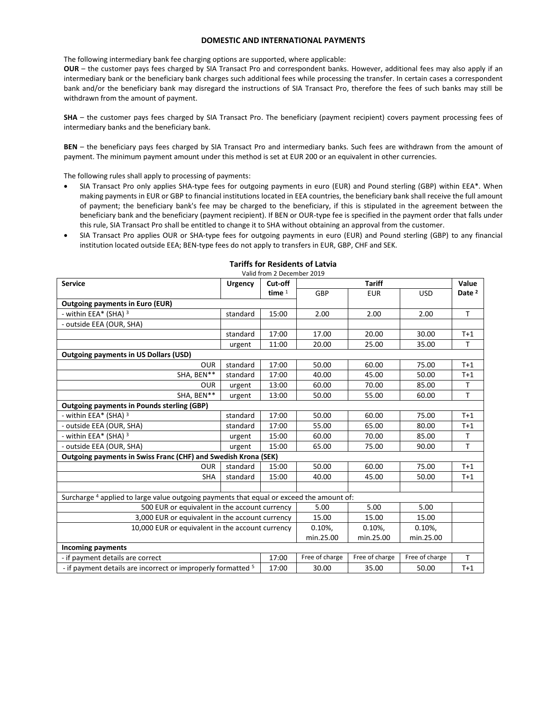#### **DOMESTIC AND INTERNATIONAL PAYMENTS**

The following intermediary bank fee charging options are supported, where applicable:

**OUR** – the customer pays fees charged by SIA Transact Pro and correspondent banks. However, additional fees may also apply if an intermediary bank or the beneficiary bank charges such additional fees while processing the transfer. In certain cases a correspondent bank and/or the beneficiary bank may disregard the instructions of SIA Transact Pro, therefore the fees of such banks may still be withdrawn from the amount of payment.

**SHA** – the customer pays fees charged by SIA Transact Pro. The beneficiary (payment recipient) covers payment processing fees of intermediary banks and the beneficiary bank.

**BEN** – the beneficiary pays fees charged by SIA Transact Pro and intermediary banks. Such fees are withdrawn from the amount of payment. The minimum payment amount under this method is set at EUR 200 or an equivalent in other currencies.

The following rules shall apply to processing of payments:

- SIA Transact Pro only applies SHA-type fees for outgoing payments in euro (EUR) and Pound sterling (GBP) within EEA\*. When making payments in EUR or GBP to financial institutions located in EEA countries, the beneficiary bank shall receive the full amount of payment; the beneficiary bank's fee may be charged to the beneficiary, if this is stipulated in the agreement between the beneficiary bank and the beneficiary (payment recipient). If BEN or OUR-type fee is specified in the payment order that falls under this rule, SIA Transact Pro shall be entitled to change it to SHA without obtaining an approval from the customer.
- SIA Transact Pro applies OUR or SHA-type fees for outgoing payments in euro (EUR) and Pound sterling (GBP) to any financial institution located outside EEA; BEN-type fees do not apply to transfers in EUR, GBP, CHF and SEK.

| Valid from 2 December 2019                                                                          |                |          |                        |                |                |                   |
|-----------------------------------------------------------------------------------------------------|----------------|----------|------------------------|----------------|----------------|-------------------|
| <b>Service</b>                                                                                      | <b>Urgency</b> | Cut-off  | <b>Tariff</b>          |                |                | Value             |
|                                                                                                     |                | time $1$ | GBP                    | <b>EUR</b>     | <b>USD</b>     | Date <sup>2</sup> |
| <b>Outgoing payments in Euro (EUR)</b>                                                              |                |          |                        |                |                |                   |
| - within EEA* (SHA) 3                                                                               | standard       | 15:00    | 2.00                   | 2.00           | 2.00           | $\mathsf{T}$      |
| - outside EEA (OUR, SHA)                                                                            |                |          |                        |                |                |                   |
|                                                                                                     | standard       | 17:00    | 17.00                  | 20.00          | 30.00          | $T+1$             |
|                                                                                                     | urgent         | 11:00    | 20.00                  | 25.00          | 35.00          | т                 |
| <b>Outgoing payments in US Dollars (USD)</b>                                                        |                |          |                        |                |                |                   |
| <b>OUR</b>                                                                                          | standard       | 17:00    | 50.00                  | 60.00          | 75.00          | $T+1$             |
| SHA, BEN**                                                                                          | standard       | 17:00    | 40.00                  | 45.00          | 50.00          | $T+1$             |
| <b>OUR</b>                                                                                          | urgent         | 13:00    | 60.00                  | 70.00          | 85.00          | T                 |
| SHA, BEN**                                                                                          | urgent         | 13:00    | 50.00                  | 55.00          | 60.00          | $\mathsf{T}$      |
| <b>Outgoing payments in Pounds sterling (GBP)</b>                                                   |                |          |                        |                |                |                   |
| - within EEA* (SHA) 3                                                                               | standard       | 17:00    | 50.00                  | 60.00          | 75.00          | $T+1$             |
| - outside EEA (OUR, SHA)                                                                            | standard       | 17:00    | 55.00                  | 65.00          | 80.00          | $T+1$             |
| - within EEA* (SHA) 3                                                                               | urgent         | 15:00    | 60.00                  | 70.00          | 85.00          | T                 |
| - outside EEA (OUR, SHA)                                                                            | urgent         | 15:00    | 65.00                  | 75.00          | 90.00          | $\mathsf{T}$      |
| Outgoing payments in Swiss Franc (CHF) and Swedish Krona (SEK)                                      |                |          |                        |                |                |                   |
| <b>OUR</b>                                                                                          | standard       | 15:00    | 50.00                  | 60.00          | 75.00          | $T+1$             |
| <b>SHA</b>                                                                                          | standard       | 15:00    | 40.00                  | 45.00          | 50.00          | $T+1$             |
|                                                                                                     |                |          |                        |                |                |                   |
| Surcharge <sup>4</sup> applied to large value outgoing payments that equal or exceed the amount of: |                |          |                        |                |                |                   |
| 500 EUR or equivalent in the account currency                                                       |                |          | 5.00                   | 5.00           | 5.00           |                   |
| 3,000 EUR or equivalent in the account currency                                                     |                |          | 15.00                  | 15.00          | 15.00          |                   |
| 10,000 EUR or equivalent in the account currency                                                    |                |          | 0.10%                  | 0.10%          | 0.10%          |                   |
|                                                                                                     |                |          | min.25.00<br>min.25.00 |                | min.25.00      |                   |
| <b>Incoming payments</b>                                                                            |                |          |                        |                |                |                   |
| - if payment details are correct                                                                    |                | 17:00    | Free of charge         | Free of charge | Free of charge | $\mathsf{T}$      |
| - if payment details are incorrect or improperly formatted <sup>5</sup>                             |                | 17:00    | 30.00                  | 35.00          | 50.00          | $T+1$             |

# **Tariffs for Residents of Latvia**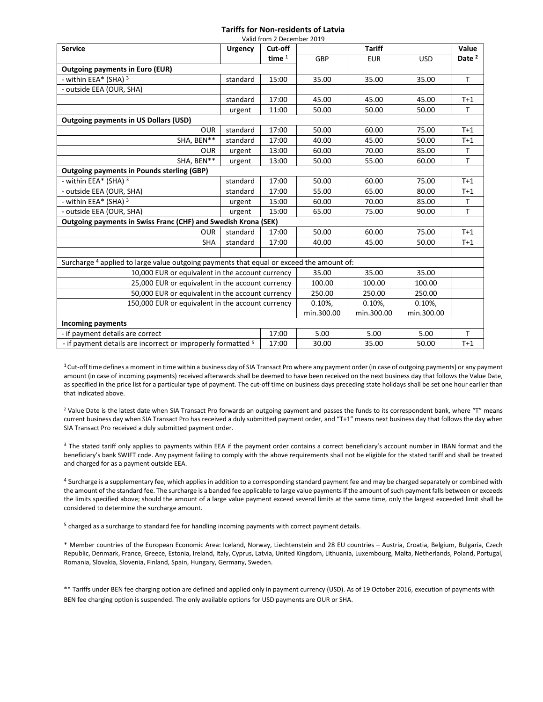# **Tariffs for Non-residents of Latvia**

| Valid from 2 December 2019                                                                          |                |          |            |               |            |                   |
|-----------------------------------------------------------------------------------------------------|----------------|----------|------------|---------------|------------|-------------------|
| <b>Service</b>                                                                                      | <b>Urgency</b> | Cut-off  |            | <b>Tariff</b> |            | Value             |
|                                                                                                     |                | time $1$ | GBP        | <b>EUR</b>    | <b>USD</b> | Date <sup>2</sup> |
| <b>Outgoing payments in Euro (EUR)</b>                                                              |                |          |            |               |            |                   |
| - within EEA* (SHA) 3                                                                               | standard       | 15:00    | 35.00      | 35.00         | 35.00      | T                 |
| - outside EEA (OUR, SHA)                                                                            |                |          |            |               |            |                   |
|                                                                                                     | standard       | 17:00    | 45.00      | 45.00         | 45.00      | $T+1$             |
|                                                                                                     | urgent         | 11:00    | 50.00      | 50.00         | 50.00      | T                 |
| <b>Outgoing payments in US Dollars (USD)</b>                                                        |                |          |            |               |            |                   |
| <b>OUR</b>                                                                                          | standard       | 17:00    | 50.00      | 60.00         | 75.00      | $T+1$             |
| SHA, BEN**                                                                                          | standard       | 17:00    | 40.00      | 45.00         | 50.00      | $T+1$             |
| <b>OUR</b>                                                                                          | urgent         | 13:00    | 60.00      | 70.00         | 85.00      | Т                 |
| SHA, BEN**                                                                                          | urgent         | 13:00    | 50.00      | 55.00         | 60.00      | T                 |
| <b>Outgoing payments in Pounds sterling (GBP)</b>                                                   |                |          |            |               |            |                   |
| - within EEA* (SHA) <sup>3</sup>                                                                    | standard       | 17:00    | 50.00      | 60.00         | 75.00      | $T+1$             |
| - outside EEA (OUR, SHA)                                                                            | standard       | 17:00    | 55.00      | 65.00         | 80.00      | $T+1$             |
| - within EEA* (SHA) 3                                                                               | urgent         | 15:00    | 60.00      | 70.00         | 85.00      | T.                |
| - outside EEA (OUR, SHA)                                                                            | urgent         | 15:00    | 65.00      | 75.00         | 90.00      | T                 |
| Outgoing payments in Swiss Franc (CHF) and Swedish Krona (SEK)                                      |                |          |            |               |            |                   |
| <b>OUR</b>                                                                                          | standard       | 17:00    | 50.00      | 60.00         | 75.00      | $T+1$             |
| <b>SHA</b>                                                                                          | standard       | 17:00    | 40.00      | 45.00         | 50.00      | $T+1$             |
|                                                                                                     |                |          |            |               |            |                   |
| Surcharge <sup>4</sup> applied to large value outgoing payments that equal or exceed the amount of: |                |          |            |               |            |                   |
| 10,000 EUR or equivalent in the account currency                                                    |                |          | 35.00      | 35.00         | 35.00      |                   |
| 25,000 EUR or equivalent in the account currency                                                    |                |          | 100.00     | 100.00        | 100.00     |                   |
| 50,000 EUR or equivalent in the account currency                                                    |                |          | 250.00     | 250.00        | 250.00     |                   |
| 150,000 EUR or equivalent in the account currency                                                   |                |          | 0.10%      | 0.10%         | 0.10%      |                   |
|                                                                                                     |                |          | min.300.00 | min.300.00    | min.300.00 |                   |
| <b>Incoming payments</b>                                                                            |                |          |            |               |            |                   |
| - if payment details are correct                                                                    |                | 17:00    | 5.00       | 5.00          | 5.00       | $\mathsf{T}$      |
| - if payment details are incorrect or improperly formatted <sup>5</sup>                             |                | 17:00    | 30.00      | 35.00         | 50.00      | $T+1$             |

 $1$ Cut-off time defines a moment in time within a business day of SIA Transact Pro where any payment order (in case of outgoing payments) or any payment amount (in case of incoming payments) received afterwards shall be deemed to have been received on the next business day that follows the Value Date, as specified in the price list for a particular type of payment. The cut-off time on business days preceding state holidays shall be set one hour earlier than that indicated above.

<sup>2</sup> Value Date is the latest date when SIA Transact Pro forwards an outgoing payment and passes the funds to its correspondent bank, where "T" means current business day when SIA Transact Pro has received a duly submitted payment order, and "T+1" means next business day that follows the day when SIA Transact Pro received a duly submitted payment order.

<sup>3</sup> The stated tariff only applies to payments within EEA if the payment order contains a correct beneficiary's account number in IBAN format and the beneficiary's bank SWIFT code. Any payment failing to comply with the above requirements shall not be eligible for the stated tariff and shall be treated and charged for as a payment outside EEA.

<sup>4</sup> Surcharge is a supplementary fee, which applies in addition to a corresponding standard payment fee and may be charged separately or combined with the amount of the standard fee. The surcharge is a banded fee applicable to large value payments if the amount of such payment falls between or exceeds the limits specified above; should the amount of a large value payment exceed several limits at the same time, only the largest exceeded limit shall be considered to determine the surcharge amount.

<sup>5</sup> charged as a surcharge to standard fee for handling incoming payments with correct payment details.

\* Member countries of the European Economic Area: Iceland, Norway, Liechtenstein and 28 EU countries – Austria, Croatia, Belgium, Bulgaria, Czech Republic, Denmark, France, Greece, Estonia, Ireland, Italy, Cyprus, Latvia, United Kingdom, Lithuania, Luxembourg, Malta, Netherlands, Poland, Portugal, Romania, Slovakia, Slovenia, Finland, Spain, Hungary, Germany, Sweden.

\*\* Tariffs under BEN fee charging option are defined and applied only in payment currency (USD). As of 19 October 2016, execution of payments with BEN fee charging option is suspended. The only available options for USD payments are OUR or SHA.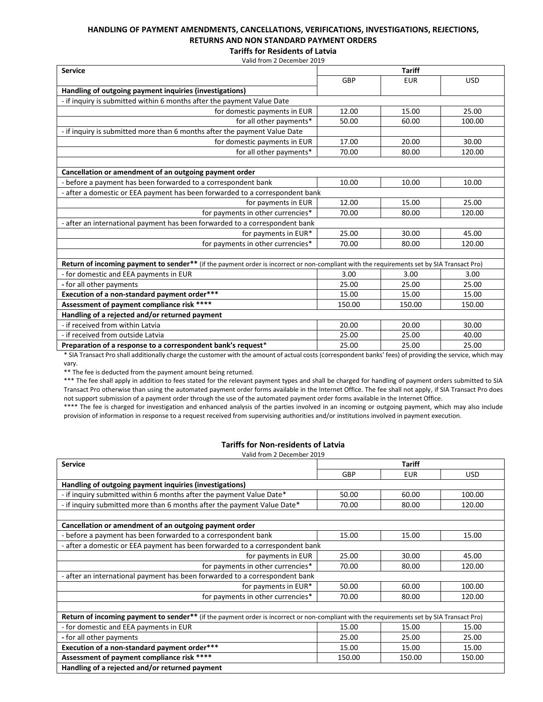# **HANDLING OF PAYMENT AMENDMENTS, CANCELLATIONS, VERIFICATIONS, INVESTIGATIONS, REJECTIONS, RETURNS AND NON STANDARD PAYMENT ORDERS**

**Tariffs for Residents of Latvia** Valid from 2 December 2019

| <b>Service</b>                                                                                                                            | <b>Tariff</b> |            |            |  |  |
|-------------------------------------------------------------------------------------------------------------------------------------------|---------------|------------|------------|--|--|
|                                                                                                                                           | GBP           | <b>EUR</b> | <b>USD</b> |  |  |
| Handling of outgoing payment inquiries (investigations)                                                                                   |               |            |            |  |  |
| - if inquiry is submitted within 6 months after the payment Value Date                                                                    |               |            |            |  |  |
| for domestic payments in EUR                                                                                                              | 12.00         | 15.00      | 25.00      |  |  |
| for all other payments*                                                                                                                   | 50.00         | 60.00      | 100.00     |  |  |
| - if inquiry is submitted more than 6 months after the payment Value Date                                                                 |               |            |            |  |  |
| for domestic payments in EUR                                                                                                              | 17.00         | 20.00      | 30.00      |  |  |
| for all other payments*                                                                                                                   | 70.00         | 80.00      | 120.00     |  |  |
|                                                                                                                                           |               |            |            |  |  |
| Cancellation or amendment of an outgoing payment order                                                                                    |               |            |            |  |  |
| - before a payment has been forwarded to a correspondent bank                                                                             | 10.00         | 10.00      | 10.00      |  |  |
| - after a domestic or EEA payment has been forwarded to a correspondent bank                                                              |               |            |            |  |  |
| for payments in EUR                                                                                                                       | 12.00         | 15.00      | 25.00      |  |  |
| for payments in other currencies*                                                                                                         | 70.00         | 80.00      | 120.00     |  |  |
| - after an international payment has been forwarded to a correspondent bank                                                               |               |            |            |  |  |
| for payments in EUR*                                                                                                                      | 25.00         | 30.00      | 45.00      |  |  |
| for payments in other currencies*                                                                                                         | 70.00         | 80.00      | 120.00     |  |  |
|                                                                                                                                           |               |            |            |  |  |
| Return of incoming payment to sender** (if the payment order is incorrect or non-compliant with the requirements set by SIA Transact Pro) |               |            |            |  |  |
| - for domestic and EEA payments in EUR                                                                                                    | 3.00          | 3.00       | 3.00       |  |  |
| - for all other payments                                                                                                                  | 25.00         | 25.00      | 25.00      |  |  |
| Execution of a non-standard payment order***                                                                                              | 15.00         | 15.00      | 15.00      |  |  |
| Assessment of payment compliance risk ****                                                                                                | 150.00        | 150.00     | 150.00     |  |  |
| Handling of a rejected and/or returned payment                                                                                            |               |            |            |  |  |
| - if received from within Latvia                                                                                                          | 20.00         | 20.00      | 30.00      |  |  |
| - if received from outside Latvia                                                                                                         | 25.00         | 25.00      | 40.00      |  |  |
| Preparation of a response to a correspondent bank's request*                                                                              | 25.00         | 25.00      | 25.00      |  |  |

\* SIA Transact Pro shall additionally charge the customer with the amount of actual costs (correspondent banks' fees) of providing the service, which may vary.

\*\* The fee is deducted from the payment amount being returned.

\*\*\* The fee shall apply in addition to fees stated for the relevant payment types and shall be charged for handling of payment orders submitted to SIA Transact Pro otherwise than using the automated payment order forms available in the Internet Office. The fee shall not apply, if SIA Transact Pro does not support submission of a payment order through the use of the automated payment order forms available in the Internet Office.

\*\*\*\* The fee is charged for investigation and enhanced analysis of the parties involved in an incoming or outgoing payment, which may also include provision of information in response to a request received from supervising authorities and/or institutions involved in payment execution.

## **Tariffs for Non-residents of Latvia**

Valid from 2 December 2019

| <b>Service</b>                                                                                                                                   | <b>Tariff</b> |            |            |  |  |
|--------------------------------------------------------------------------------------------------------------------------------------------------|---------------|------------|------------|--|--|
|                                                                                                                                                  | <b>GBP</b>    | <b>EUR</b> | <b>USD</b> |  |  |
| Handling of outgoing payment inquiries (investigations)                                                                                          |               |            |            |  |  |
| - if inguiry submitted within 6 months after the payment Value Date*                                                                             | 50.00         | 60.00      | 100.00     |  |  |
| - if inquiry submitted more than 6 months after the payment Value Date*                                                                          | 70.00         | 80.00      | 120.00     |  |  |
|                                                                                                                                                  |               |            |            |  |  |
| Cancellation or amendment of an outgoing payment order                                                                                           |               |            |            |  |  |
| - before a payment has been forwarded to a correspondent bank                                                                                    | 15.00         | 15.00      | 15.00      |  |  |
| - after a domestic or EEA payment has been forwarded to a correspondent bank                                                                     |               |            |            |  |  |
| for payments in EUR                                                                                                                              | 25.00         | 30.00      | 45.00      |  |  |
| for payments in other currencies*                                                                                                                | 70.00         | 80.00      | 120.00     |  |  |
| - after an international payment has been forwarded to a correspondent bank                                                                      |               |            |            |  |  |
| for payments in EUR*                                                                                                                             | 50.00         | 60.00      | 100.00     |  |  |
| for payments in other currencies*                                                                                                                | 70.00         | 80.00      | 120.00     |  |  |
|                                                                                                                                                  |               |            |            |  |  |
| <b>Return of incoming payment to sender**</b> (if the payment order is incorrect or non-compliant with the requirements set by SIA Transact Pro) |               |            |            |  |  |
| - for domestic and EEA payments in EUR                                                                                                           | 15.00         | 15.00      | 15.00      |  |  |
| - for all other payments                                                                                                                         | 25.00         | 25.00      | 25.00      |  |  |
| Execution of a non-standard payment order***                                                                                                     | 15.00         | 15.00      | 15.00      |  |  |
| Assessment of payment compliance risk ****                                                                                                       | 150.00        | 150.00     | 150.00     |  |  |
| Handling of a rejected and/or returned payment                                                                                                   |               |            |            |  |  |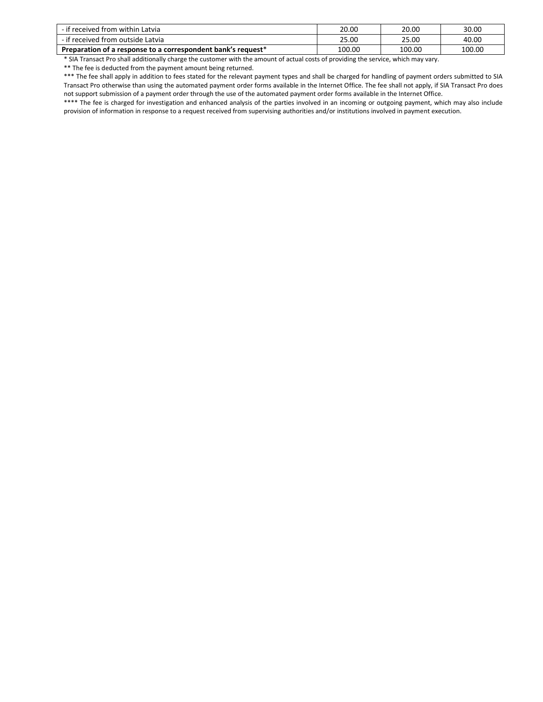| - if received from within Latvia                             | 20.00  | 20.00  | 30.00  |
|--------------------------------------------------------------|--------|--------|--------|
| - if received from outside Latvia                            | 25.00  | 25.00  | 40.00  |
| Preparation of a response to a correspondent bank's request* | 100.00 | 100.00 | 100.00 |

\* SIA Transact Pro shall additionally charge the customer with the amount of actual costs of providing the service, which may vary.

\*\* The fee is deducted from the payment amount being returned.

\*\*\* The fee shall apply in addition to fees stated for the relevant payment types and shall be charged for handling of payment orders submitted to SIA Transact Pro otherwise than using the automated payment order forms available in the Internet Office. The fee shall not apply, if SIA Transact Pro does not support submission of a payment order through the use of the automated payment order forms available in the Internet Office.

\*\*\*\* The fee is charged for investigation and enhanced analysis of the parties involved in an incoming or outgoing payment, which may also include provision of information in response to a request received from supervising authorities and/or institutions involved in payment execution.